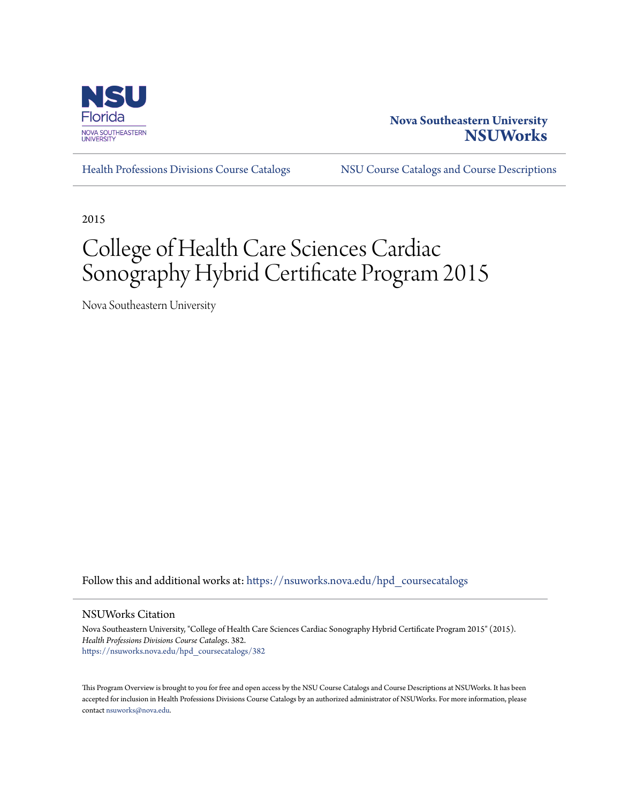

# **Nova Southeastern University [NSUWorks](https://nsuworks.nova.edu?utm_source=nsuworks.nova.edu%2Fhpd_coursecatalogs%2F382&utm_medium=PDF&utm_campaign=PDFCoverPages)**

[Health Professions Divisions Course Catalogs](https://nsuworks.nova.edu/hpd_coursecatalogs?utm_source=nsuworks.nova.edu%2Fhpd_coursecatalogs%2F382&utm_medium=PDF&utm_campaign=PDFCoverPages) [NSU Course Catalogs and Course Descriptions](https://nsuworks.nova.edu/nsu_catalogs?utm_source=nsuworks.nova.edu%2Fhpd_coursecatalogs%2F382&utm_medium=PDF&utm_campaign=PDFCoverPages)

2015

# College of Health Care Sciences Cardiac Sonography Hybrid Certificate Program 2015

Nova Southeastern University

Follow this and additional works at: [https://nsuworks.nova.edu/hpd\\_coursecatalogs](https://nsuworks.nova.edu/hpd_coursecatalogs?utm_source=nsuworks.nova.edu%2Fhpd_coursecatalogs%2F382&utm_medium=PDF&utm_campaign=PDFCoverPages)

NSUWorks Citation

Nova Southeastern University, "College of Health Care Sciences Cardiac Sonography Hybrid Certificate Program 2015" (2015). *Health Professions Divisions Course Catalogs*. 382. [https://nsuworks.nova.edu/hpd\\_coursecatalogs/382](https://nsuworks.nova.edu/hpd_coursecatalogs/382?utm_source=nsuworks.nova.edu%2Fhpd_coursecatalogs%2F382&utm_medium=PDF&utm_campaign=PDFCoverPages)

This Program Overview is brought to you for free and open access by the NSU Course Catalogs and Course Descriptions at NSUWorks. It has been accepted for inclusion in Health Professions Divisions Course Catalogs by an authorized administrator of NSUWorks. For more information, please contact [nsuworks@nova.edu](mailto:nsuworks@nova.edu).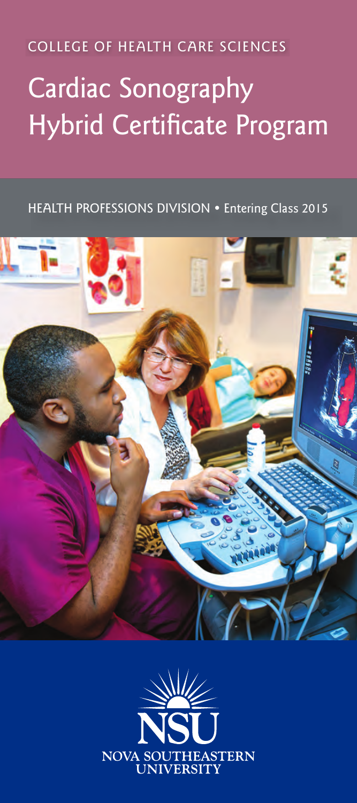COLLEGE OF HEALTH CARE SCIENCES

# Cardiac Sonography Hybrid Certificate Program

HEALTH PROFESSIONS DIVISION • Entering Class 2015



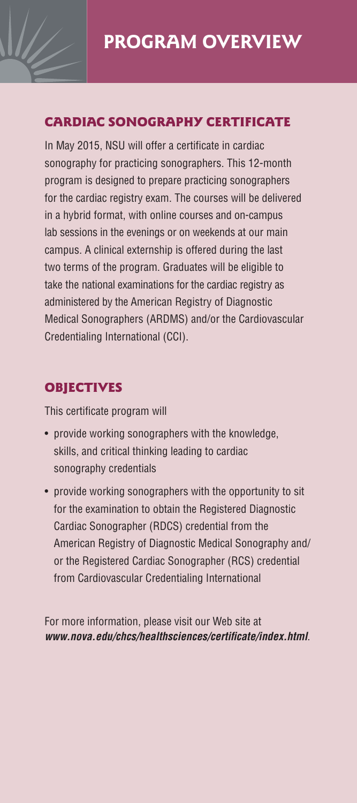

#### Cardiac sonography certificate

In May 2015, NSU will offer a certificate in cardiac sonography for practicing sonographers. This 12-month program is designed to prepare practicing sonographers for the cardiac registry exam. The courses will be delivered in a hybrid format, with online courses and on-campus lab sessions in the evenings or on weekends at our main campus. A clinical externship is offered during the last two terms of the program. Graduates will be eligible to take the national examinations for the cardiac registry as administered by the American Registry of Diagnostic Medical Sonographers (ARDMS) and/or the Cardiovascular Credentialing International (CCI).

### **OBJECTIVES**

This certificate program will

- provide working sonographers with the knowledge, skills, and critical thinking leading to cardiac sonography credentials
- provide working sonographers with the opportunity to sit for the examination to obtain the Registered Diagnostic Cardiac Sonographer (RDCS) credential from the American Registry of Diagnostic Medical Sonography and/ or the Registered Cardiac Sonographer (RCS) credential from Cardiovascular Credentialing International

For more information, please visit our Web site at *www.nova.edu/chcs/healthsciences/certificate/index.html*.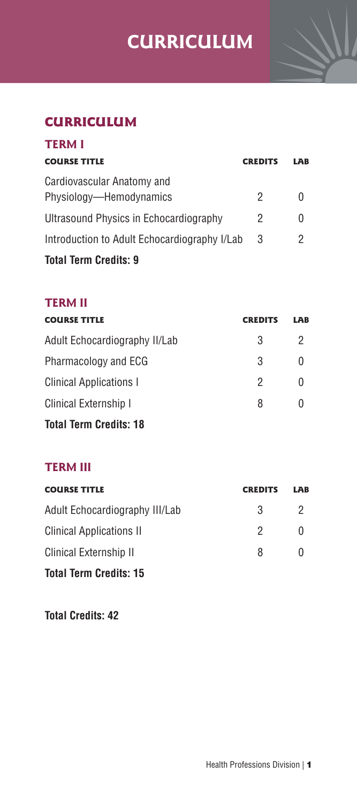# **Program Overview CURRICULUM**



## **CURRICULUM**

| <b>TERM I</b>                                         |                |              |
|-------------------------------------------------------|----------------|--------------|
| <b>COURSE TITLE</b>                                   | <b>CREDITS</b> | LAB          |
| Cardiovascular Anatomy and<br>Physiology—Hemodynamics | 2              | $\mathbf{0}$ |
| Ultrasound Physics in Echocardiography                | 2              | 0            |
| Introduction to Adult Echocardiography I/Lab          | 3              | 2            |
| <b>Total Term Credits: 9</b>                          |                |              |

#### **Term II**

| <b>COURSE TITLE</b>           | <b>CREDITS</b> | LAB          |
|-------------------------------|----------------|--------------|
| Adult Echocardiography II/Lab | 3              | 2            |
| Pharmacology and ECG          | 3              | 0            |
| Clinical Applications I       | 2              | $\Omega$     |
| Clinical Externship I         | 8              | $\mathbf{0}$ |
| <b>Total Term Credits: 18</b> |                |              |

#### **Term III**

| <b>COURSE TITLE</b>             | <b>CREDITS</b> | LAB          |
|---------------------------------|----------------|--------------|
| Adult Echocardiography III/Lab  | 3              | 2            |
| <b>Clinical Applications II</b> | 2              | <sup>0</sup> |
| Clinical Externship II          | 8              | $\cup$       |
| <b>Total Term Credits: 15</b>   |                |              |

**Total Credits: 42**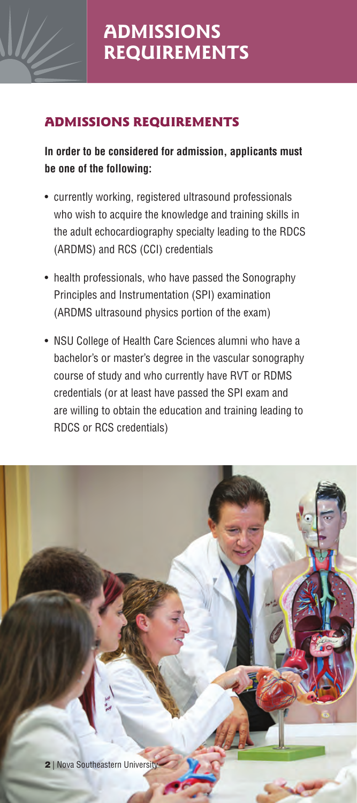

# admissionS requirements

## **In order to be considered for admission, applicants must be one of the following:**

- currently working, registered ultrasound professionals who wish to acquire the knowledge and training skills in the adult echocardiography specialty leading to the RDCS (ARDMS) and RCS (CCI) credentials
- health professionals, who have passed the Sonography Principles and Instrumentation (SPI) examination (ARDMS ultrasound physics portion of the exam)
- NSU College of Health Care Sciences alumni who have a bachelor's or master's degree in the vascular sonography course of study and who currently have RVT or RDMS credentials (or at least have passed the SPI exam and are willing to obtain the education and training leading to RDCS or RCS credentials)

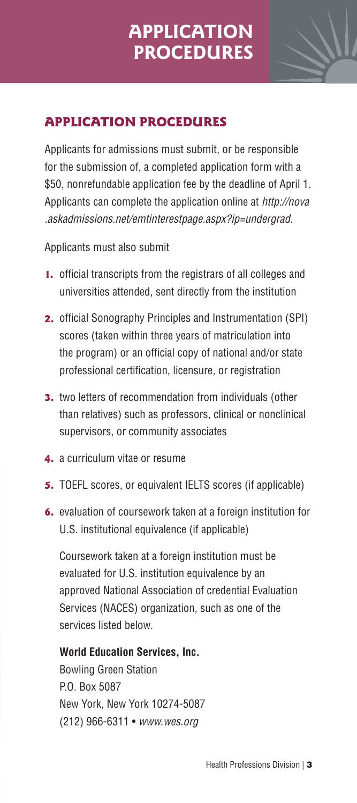# **APPLICATION PROCEDURES**



## **APPLICATION PROCEDURES**

Applicants for admissions must submit, or be responsible for the submission of, a completed application form with a \$50, nonrefundable application fee by the deadline of April 1. Applicants can complete the application online at *http://nova .askadmissions.net/emtinterestpage.aspx?ip=undergrad*.

Applicants must also submit

- 1. official transcripts from the registrars of all colleges and universities attended, sent directly from the institution
- 2. official Sonography Principles and Instrumentation (SPI) scores (taken within three years of matriculation into the program) or an official copy of national and/or state professional certification, licensure, or registration
- **3.** two letters of recommendation from individuals (other than relatives) such as professors, clinical or nonclinical supervisors, or community associates
- 4. a curriculum vitae or resume
- 5. TOEFL scores, or equivalent IELTS scores (if applicable)
- 6. evaluation of coursework taken at a foreign institution for U.S. institutional equivalence (if applicable)

Coursework taken at a foreign institution must be evaluated for U.S. institution equivalence by an approved National Association of credential Evaluation Services (NACES) organization, such as one of the services listed below.

#### **World Education Services, Inc.**

Bowling Green Station P.O. Box 5087 New York, New York 10274-5087 (212) 966-6311 • *www.wes.org*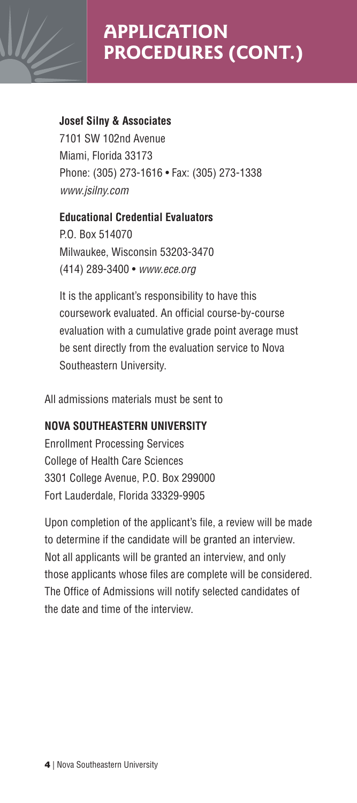

#### **Josef Silny & Associates**

7101 SW 102nd Avenue Miami, Florida 33173 Phone: (305) 273-1616 • Fax: (305) 273-1338 *www.jsilny.com*

#### **Educational Credential Evaluators**

P.O. Box 514070 Milwaukee, Wisconsin 53203-3470 (414) 289-3400 • *www.ece.org*

It is the applicant's responsibility to have this coursework evaluated. An official course-by-course evaluation with a cumulative grade point average must be sent directly from the evaluation service to Nova Southeastern University.

All admissions materials must be sent to

#### **NOVA SOUTHEASTERN UNIVERSITY**

Enrollment Processing Services College of Health Care Sciences 3301 College Avenue, P.O. Box 299000 Fort Lauderdale, Florida 33329-9905

Upon completion of the applicant's file, a review will be made to determine if the candidate will be granted an interview. Not all applicants will be granted an interview, and only those applicants whose files are complete will be considered. The Office of Admissions will notify selected candidates of the date and time of the interview.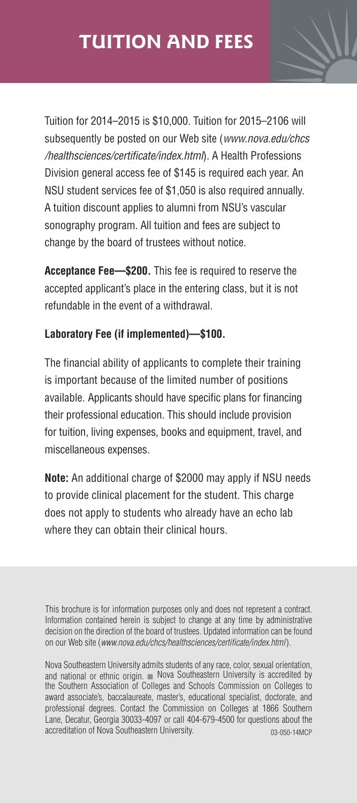

Tuition for 2014–2015 is \$10,000. Tuition for 2015–2106 will subsequently be posted on our Web site (*www.nova.edu/chcs /healthsciences/certificate/index.html*). A Health Professions Division general access fee of \$145 is required each year. An NSU student services fee of \$1,050 is also required annually. A tuition discount applies to alumni from NSU's vascular sonography program. All tuition and fees are subject to change by the board of trustees without notice.

**Acceptance Fee—\$200.** This fee is required to reserve the accepted applicant's place in the entering class, but it is not refundable in the event of a withdrawal.

### **Laboratory Fee (if implemented)—\$100.**

The financial ability of applicants to complete their training is important because of the limited number of positions available. Applicants should have specific plans for financing their professional education. This should include provision for tuition, living expenses, books and equipment, travel, and miscellaneous expenses.

**Note:** An additional charge of \$2000 may apply if NSU needs to provide clinical placement for the student. This charge does not apply to students who already have an echo lab where they can obtain their clinical hours.

This brochure is for information purposes only and does not represent a contract. Information contained herein is subject to change at any time by administrative decision on the direction of the board of trustees. Updated information can be found on our Web site (*www.nova.edu/chcs/healthsciences/certificate/index.html*).

Nova Southeastern University admits students of any race, color, sexual orientation, and national or ethnic origin.  $\blacksquare$  Nova Southeastern University is accredited by the Southern Association of Colleges and Schools Commission on Colleges to award associate's, baccalaureate, master's, educational specialist, doctorate, and professional degrees. Contact the Commission on Colleges at 1866 Southern Lane, Decatur, Georgia 30033-4097 or call 404-679-4500 for questions about the accreditation of Nova Southeastern University. 03-050-14MCP